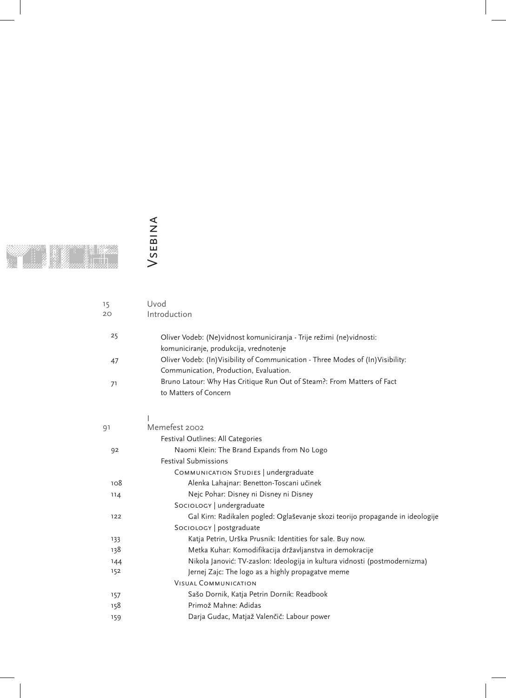VSEBINA Vsebina

| 15  | Uvod                                                                                                                                                                 |
|-----|----------------------------------------------------------------------------------------------------------------------------------------------------------------------|
| 20  | Introduction                                                                                                                                                         |
| 25  | Oliver Vodeb: (Ne) vidnost komuniciranja - Trije režimi (ne) vidnosti:                                                                                               |
| 47  | komuniciranje, produkcija, vrednotenje<br>Oliver Vodeb: (In) Visibility of Communication - Three Modes of (In) Visibility:<br>Communication, Production, Evaluation. |
| 71  | Bruno Latour: Why Has Critique Run Out of Steam?: From Matters of Fact<br>to Matters of Concern                                                                      |
|     |                                                                                                                                                                      |
| 91  | Memefest 2002                                                                                                                                                        |
|     | Festival Outlines: All Categories                                                                                                                                    |
| 92  | Naomi Klein: The Brand Expands from No Logo                                                                                                                          |
|     | <b>Festival Submissions</b>                                                                                                                                          |
|     | COMMUNICATION STUDIES   undergraduate                                                                                                                                |
| 108 | Alenka Lahajnar: Benetton-Toscani učinek                                                                                                                             |
| 114 | Nejc Pohar: Disney ni Disney ni Disney                                                                                                                               |
|     | SocioLogy   undergraduate                                                                                                                                            |
| 122 | Gal Kirn: Radikalen pogled: Oglaševanje skozi teorijo propagande in ideologije                                                                                       |
|     | SocioLogy   postgraduate                                                                                                                                             |
| 133 | Katja Petrin, Urška Prusnik: Identities for sale. Buy now.                                                                                                           |
| 138 | Metka Kuhar: Komodifikacija državljanstva in demokracije                                                                                                             |
| 144 | Nikola Janović: TV-zaslon: Ideologija in kultura vidnosti (postmodernizma)                                                                                           |
| 152 | Jernej Zajc: The logo as a highly propagatve meme                                                                                                                    |
|     | <b>VISUAL COMMUNICATION</b>                                                                                                                                          |
| 157 | Sašo Dornik, Katja Petrin Dornik: Readbook                                                                                                                           |
| 158 | Primož Mahne: Adidas                                                                                                                                                 |
| 159 | Darja Gudac, Matjaž Valenčič: Labour power                                                                                                                           |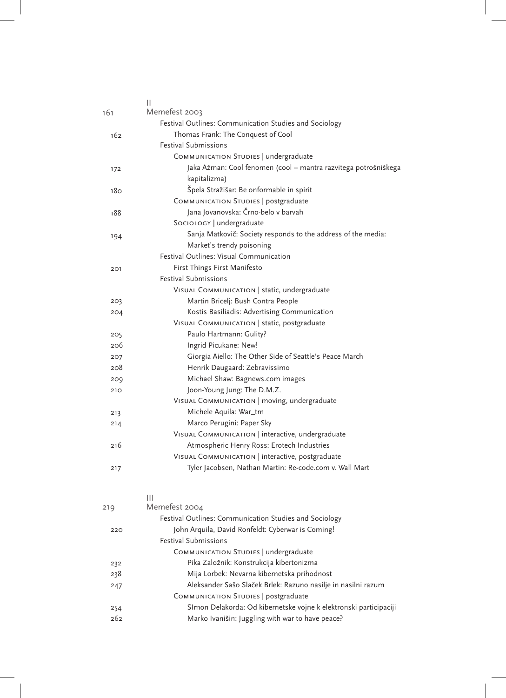|                 | Ш                                                               |
|-----------------|-----------------------------------------------------------------|
| 161             | Memefest 2003                                                   |
|                 | Festival Outlines: Communication Studies and Sociology          |
| 162             | Thomas Frank: The Conquest of Cool                              |
|                 | <b>Festival Submissions</b>                                     |
|                 | COMMUNICATION STUDIES   undergraduate                           |
| 172             | Jaka Ažman: Cool fenomen (cool - mantra razvitega potrošniškega |
|                 | kapitalizma)                                                    |
| 18 <sub>O</sub> | Špela Stražišar: Be onformable in spirit                        |
|                 | COMMUNICATION STUDIES   postgraduate                            |
| 188             | Jana Jovanovska: Črno-belo v barvah                             |
|                 | SocioLogy   undergraduate                                       |
| 194             | Sanja Matkovič: Society responds to the address of the media:   |
|                 | Market's trendy poisoning                                       |
|                 | Festival Outlines: Visual Communication                         |
| 201             | First Things First Manifesto                                    |
|                 | <b>Festival Submissions</b>                                     |
|                 | VISUAL COMMUNICATION   static, undergraduate                    |
| 203             | Martin Bricelj: Bush Contra People                              |
| 204             | Kostis Basiliadis: Advertising Communication                    |
|                 | VISUAL COMMUNICATION   static, postgraduate                     |
| 205             | Paulo Hartmann: Gulity?                                         |
| 206             | Ingrid Picukane: New!                                           |
| 207             | Giorgia Aiello: The Other Side of Seattle's Peace March         |
| 208             | Henrik Daugaard: Zebravissimo                                   |
| 209             | Michael Shaw: Bagnews.com images                                |
| 210             | Joon-Young Jung: The D.M.Z.                                     |
|                 | VISUAL COMMUNICATION   moving, undergraduate                    |
| 213             | Michele Aquila: War_tm                                          |
| 214             | Marco Perugini: Paper Sky                                       |
|                 | VISUAL COMMUNICATION   interactive, undergraduate               |
| 216             | Atmospheric Henry Ross: Erotech Industries                      |
|                 | VISUAL COMMUNICATION   interactive, postgraduate                |
| 217             | Tyler Jacobsen, Nathan Martin: Re-code.com v. Wall Mart         |
|                 |                                                                 |

|     | Ш                                                                 |  |
|-----|-------------------------------------------------------------------|--|
| 219 | Memefest 2004                                                     |  |
|     | Festival Outlines: Communication Studies and Sociology            |  |
| 220 | John Arquila, David Ronfeldt: Cyberwar is Coming!                 |  |
|     | <b>Festival Submissions</b>                                       |  |
|     | COMMUNICATION STUDIES   undergraduate                             |  |
| 232 | Pika Založnik: Konstrukcija kibertonizma                          |  |
| 238 | Mija Lorbek: Nevarna kibernetska prihodnost                       |  |
| 247 | Aleksander Sašo Slaček Brlek: Razuno nasilje in nasilni razum     |  |
|     | COMMUNICATION STUDIES   postgraduate                              |  |
| 254 | SImon Delakorda: Od kibernetske vojne k elektronski participaciji |  |
| 262 | Marko Ivanišin: Juggling with war to have peace?                  |  |
|     |                                                                   |  |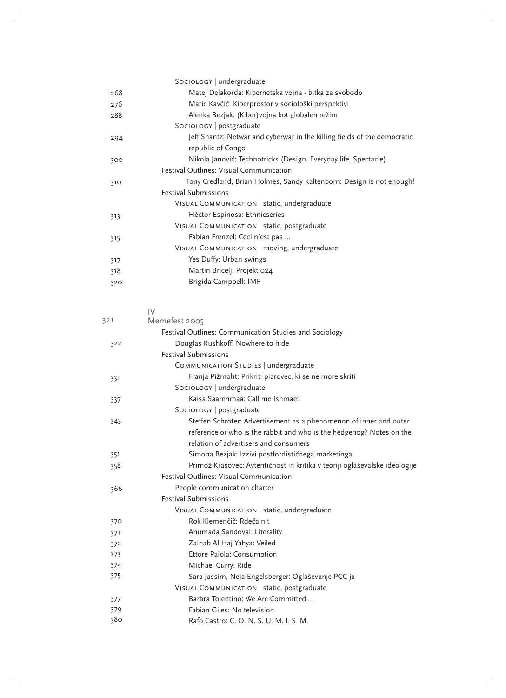|     | SocioLogy   undergraduate                                                  |
|-----|----------------------------------------------------------------------------|
| 268 | Matej Delakorda: Kibernetska vojna - bitka za svobodo                      |
| 276 | Matic Kavčič: Kiberprostor v sociološki perspektivi                        |
| 288 | Alenka Bezjak: (Kiber) vojna kot globalen režim                            |
|     | SocioLogy   postgraduate                                                   |
| 294 | Jeff Shantz: Netwar and cyberwar in the killing fields of the democratic   |
|     | republic of Congo                                                          |
| 300 | Nikola Janović: Technotricks (Design. Everyday life. Spectacle)            |
|     | Festival Outlines: Visual Communication                                    |
| 310 | Tony Credland, Brian Holmes, Sandy Kaltenborn: Design is not enough!       |
|     | <b>Festival Submissions</b>                                                |
|     | VISUAL COMMUNICATION   static, undergraduate                               |
| 313 | Héctor Espinosa: Ethnicseries                                              |
|     | VISUAL COMMUNICATION   static, postgraduate                                |
| 315 | Fabian Frenzel: Ceci n'est pas                                             |
|     | VISUAL COMMUNICATION   moving, undergraduate                               |
| 317 | Yes Duffy: Urban swings                                                    |
| 318 | Martin Bricelj: Projekt 024                                                |
| 320 | Brigida Campbell: IMF                                                      |
|     |                                                                            |
|     |                                                                            |
| 321 | IV<br>Memefest 2005                                                        |
|     | Festival Outlines: Communication Studies and Sociology                     |
|     | Douglas Rushkoff: Nowhere to hide                                          |
| 322 | <b>Festival Submissions</b>                                                |
|     | COMMUNICATION STUDIES   undergraduate                                      |
|     | Franja Pižmoht: Prikriti piarovec, ki se ne more skriti                    |
| 331 | SocioLogy   undergraduate                                                  |
|     | Kaisa Saarenmaa: Call me Ishmael                                           |
| 337 | SocioLogy   postgraduate                                                   |
| 343 | Steffen Schröter: Advertisement as a phenomenon of inner and outer         |
|     | reference or who is the rabbit and who is the hedgehog? Notes on the       |
|     | relation of advertisers and consumers                                      |
| 351 | Simona Bezjak: Izzivi postfordističnega marketinga                         |
| 358 | Primož Krašovec: Avtentičnost in kritika v teoriji oglaševalske ideologije |
|     | Festival Outlines: Visual Communication                                    |
| 366 | People communication charter                                               |
|     | Festival Submissions                                                       |
|     | VISUAL COMMUNICATION   static, undergraduate                               |
| 370 | Rok Klemenčič: Rdeča nit                                                   |
| 371 | Ahumada Sandoval: Literality                                               |
| 372 | Zainab Al Haj Yahya: Veiled                                                |
| 373 | Ettore Paiola: Consumption                                                 |
| 374 | Michael Curry: Ride                                                        |
| 375 | Sara Jassim, Neja Engelsberger: Oglaševanje PCC-ja                         |
|     | VISUAL COMMUNICATION   static, postgraduate                                |
| 377 | Barbra Tolentino: We Are Committed                                         |
| 379 | Fabian Giles: No television                                                |
| 380 | Rafo Castro: C. O. N. S. U. M. I. S. M.                                    |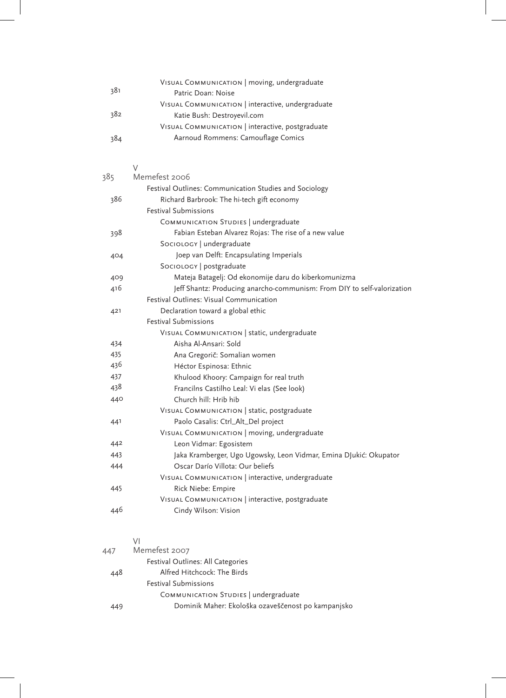|     | VISUAL COMMUNICATION   moving, undergraduate      |
|-----|---------------------------------------------------|
| 381 | Patric Doan: Noise                                |
|     | VISUAL COMMUNICATION   interactive, undergraduate |
| 382 | Katie Bush: Destroyevil.com                       |
|     | VISUAL COMMUNICATION   interactive, postgraduate  |
| 384 | Aarnoud Rommens: Camouflage Comics                |
|     |                                                   |

|     | V                                                                       |
|-----|-------------------------------------------------------------------------|
| 385 | Memefest 2006                                                           |
|     | Festival Outlines: Communication Studies and Sociology                  |
| 386 | Richard Barbrook: The hi-tech gift economy                              |
|     | <b>Festival Submissions</b>                                             |
|     | COMMUNICATION STUDIES   undergraduate                                   |
| 398 | Fabian Esteban Alvarez Rojas: The rise of a new value                   |
|     | SocioLogy   undergraduate                                               |
| 404 | Joep van Delft: Encapsulating Imperials                                 |
|     | SOCIOLOGY   postgraduate                                                |
| 409 | Mateja Batagelj: Od ekonomije daru do kiberkomunizma                    |
| 416 | Jeff Shantz: Producing anarcho-communism: From DIY to self-valorization |
|     | Festival Outlines: Visual Communication                                 |
| 421 | Declaration toward a global ethic                                       |
|     | <b>Festival Submissions</b>                                             |
|     | VISUAL COMMUNICATION   static, undergraduate                            |
| 434 | Aisha Al-Ansari: Sold                                                   |
| 435 | Ana Gregorič: Somalian women                                            |
| 436 | Héctor Espinosa: Ethnic                                                 |
| 437 | Khulood Khoory: Campaign for real truth                                 |
| 438 | Francilns Castilho Leal: Vi elas (See look)                             |
| 440 | Church hill: Hrib hib                                                   |
|     | VISUAL COMMUNICATION   static, postgraduate                             |
| 441 | Paolo Casalis: Ctrl_Alt_Del project                                     |
|     | VISUAL COMMUNICATION   moving, undergraduate                            |
| 442 | Leon Vidmar: Egosistem                                                  |
| 443 | Jaka Kramberger, Ugo Ugowsky, Leon Vidmar, Emina DJukić: Okupator       |
| 444 | Oscar Darío Villota: Our beliefs                                        |
|     | VISUAL COMMUNICATION   interactive, undergraduate                       |
| 445 | Rick Niebe: Empire                                                      |
|     | VISUAL COMMUNICATION   interactive, postgraduate                        |
| 446 | Cindy Wilson: Vision                                                    |

## $\frac{V}{M}$

| 447 | Memefest 2007                                      |
|-----|----------------------------------------------------|
|     | Festival Outlines: All Categories                  |
| 448 | Alfred Hitchcock: The Birds                        |
|     | <b>Festival Submissions</b>                        |
|     | COMMUNICATION STUDIES   undergraduate              |
| 449 | Dominik Maher: Ekološka ozaveščenost po kampanjsko |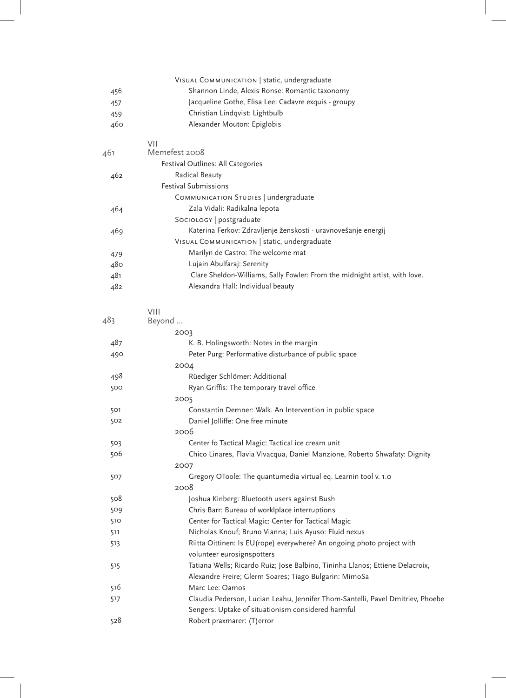|     | VISUAL COMMUNICATION   static, undergraduate                                   |
|-----|--------------------------------------------------------------------------------|
| 456 | Shannon Linde, Alexis Ronse: Romantic taxonomy                                 |
| 457 | Jacqueline Gothe, Elisa Lee: Cadavre exquis - groupy                           |
| 459 | Christian Lindqvist: Lightbulb                                                 |
| 460 | Alexander Mouton: Epiglobis                                                    |
|     | VII                                                                            |
| 461 | Memefest 2008                                                                  |
|     | Festival Outlines: All Categories                                              |
| 462 | Radical Beauty                                                                 |
|     | <b>Festival Submissions</b>                                                    |
|     | COMMUNICATION STUDIES   undergraduate                                          |
| 464 | Zala Vidali: Radikalna lepota                                                  |
|     | SocioLogy   postgraduate                                                       |
| 469 | Katerina Ferkov: Zdravljenje ženskosti - uravnovešanje energij                 |
|     | VISUAL COMMUNICATION   static, undergraduate                                   |
| 479 | Marilyn de Castro: The welcome mat                                             |
| 480 | Lujain Abulfaraj: Serenity                                                     |
| 481 | Clare Sheldon-Williams, Sally Fowler: From the midnight artist, with love.     |
| 482 | Alexandra Hall: Individual beauty                                              |
|     | <b>VIII</b>                                                                    |
| 483 | Beyond                                                                         |
|     | 2003                                                                           |
| 487 | K. B. Holingsworth: Notes in the margin                                        |
| 490 | Peter Purg: Performative disturbance of public space                           |
|     | 2004                                                                           |
| 498 | Rüediger Schlömer: Additional                                                  |
| 500 | Ryan Griffis: The temporary travel office                                      |
|     | 2005                                                                           |
| 501 | Constantin Demner: Walk. An Intervention in public space                       |
| 502 | Daniel Jolliffe: One free minute                                               |
|     | 2006                                                                           |
| 503 | Center fo Tactical Magic: Tactical ice cream unit                              |
| 506 | Chico Linares, Flavia Vivacqua, Daniel Manzione, Roberto Shwafaty: Dignity     |
|     | 2007                                                                           |
| 507 | Gregory OToole: The quantumedia virtual eq. Learnin tool v. 1.0<br>2008        |
| 508 | Joshua Kinberg: Bluetooth users against Bush                                   |
| 509 | Chris Barr: Bureau of worklplace interruptions                                 |
| 510 | Center for Tactical Magic: Center for Tactical Magic                           |
| 511 | Nicholas Knouf; Bruno Vianna; Luis Ayuso: Fluid nexus                          |
| 513 | Riitta Oittinen: Is EU (rope) everywhere? An ongoing photo project with        |
|     | volunteer eurosignspotters                                                     |
| 515 | Tatiana Wells; Ricardo Ruiz; Jose Balbino, Tininha Llanos; Ettiene Delacroix,  |
|     | Alexandre Freire; Glerm Soares; Tiago Bulgarin: MimoSa                         |
| 516 | Marc Lee: Oamos                                                                |
| 517 | Claudia Pederson, Lucian Leahu, Jennifer Thom-Santelli, Pavel Dmitriev, Phoebe |
|     | Sengers: Uptake of situationism considered harmful                             |
| 528 | Robert praxmarer: (T) error                                                    |
|     |                                                                                |